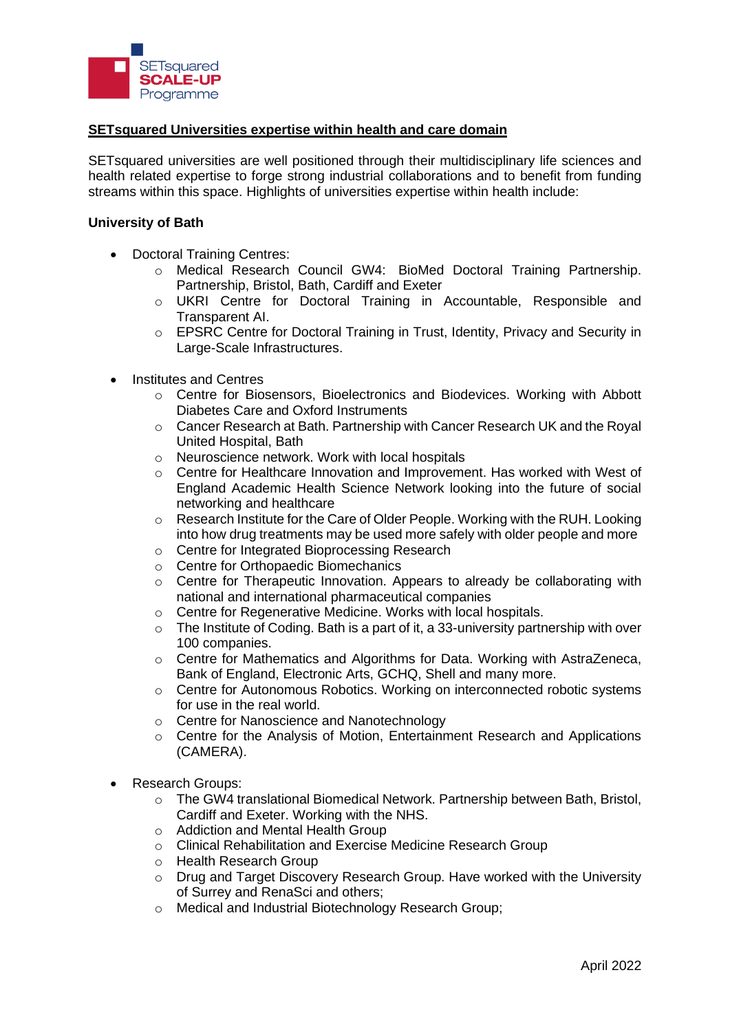

## **SETsquared Universities expertise within health and care domain**

SETsquared universities are well positioned through their multidisciplinary life sciences and health related expertise to forge strong industrial collaborations and to benefit from funding streams within this space. Highlights of universities expertise within health include:

#### **University of Bath**

- Doctoral Training Centres:
	- o Medical Research Council GW4: BioMed Doctoral Training Partnership. Partnership, Bristol, Bath, Cardiff and Exeter
	- o UKRI Centre for Doctoral Training in Accountable, Responsible and Transparent AI.
	- $\circ$  EPSRC Centre for Doctoral Training in Trust, Identity, Privacy and Security in Large-Scale Infrastructures.
- Institutes and Centres
	- o Centre for Biosensors, Bioelectronics and Biodevices. Working with Abbott Diabetes Care and Oxford Instruments
	- o Cancer Research at Bath. Partnership with Cancer Research UK and the Royal United Hospital, Bath
	- o Neuroscience network. Work with local hospitals
	- $\circ$  Centre for Healthcare Innovation and Improvement. Has worked with West of England Academic Health Science Network looking into the future of social networking and healthcare
	- $\circ$  Research Institute for the Care of Older People. Working with the RUH. Looking into how drug treatments may be used more safely with older people and more
	- o Centre for Integrated Bioprocessing Research
	- o Centre for Orthopaedic Biomechanics
	- $\circ$  Centre for Therapeutic Innovation. Appears to already be collaborating with national and international pharmaceutical companies
	- o Centre for Regenerative Medicine. Works with local hospitals.
	- $\circ$  The Institute of Coding. Bath is a part of it, a 33-university partnership with over 100 companies.
	- o Centre for Mathematics and Algorithms for Data. Working with AstraZeneca, Bank of England, Electronic Arts, GCHQ, Shell and many more.
	- o Centre for Autonomous Robotics. Working on interconnected robotic systems for use in the real world.
	- o Centre for Nanoscience and Nanotechnology
	- $\circ$  Centre for the Analysis of Motion, Entertainment Research and Applications (CAMERA).
- Research Groups:
	- o The GW4 translational Biomedical Network. Partnership between Bath, Bristol, Cardiff and Exeter. Working with the NHS.
	- o Addiction and Mental Health Group
	- o Clinical Rehabilitation and Exercise Medicine Research Group
	- o Health Research Group
	- o Drug and Target Discovery Research Group. Have worked with the University of Surrey and RenaSci and others;
	- o Medical and Industrial Biotechnology Research Group;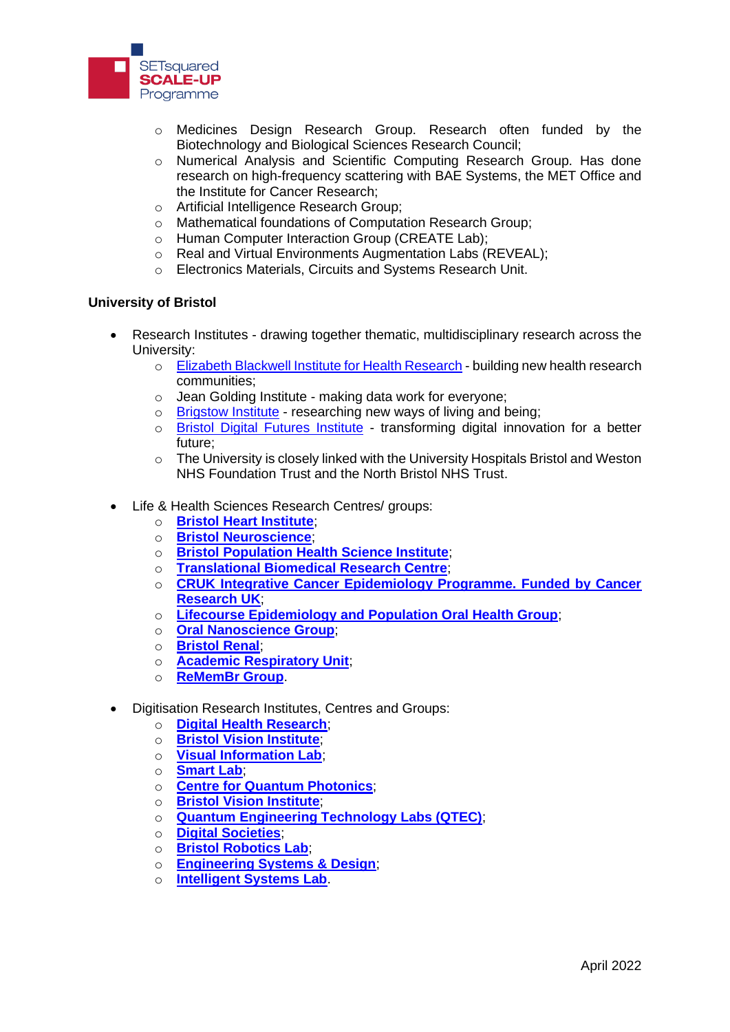

- o Medicines Design Research Group. Research often funded by the Biotechnology and Biological Sciences Research Council;
- o Numerical Analysis and Scientific Computing Research Group. Has done research on high-frequency scattering with BAE Systems, the MET Office and the Institute for Cancer Research;
- o Artificial Intelligence Research Group;
- o Mathematical foundations of Computation Research Group;
- o Human Computer Interaction Group (CREATE Lab);
- o Real and Virtual Environments Augmentation Labs (REVEAL);
- o Electronics Materials, Circuits and Systems Research Unit.

## **University of Bristol**

- Research Institutes drawing together thematic, multidisciplinary research across the University:
	- o [Elizabeth Blackwell Institute](http://www.bristol.ac.uk/blackwell/) for Health Research building new health research communities;
	- o Jean Golding Institute making data work for everyone;
	- o [Brigstow Institute](http://www.bristol.ac.uk/brigstow/) researching new ways of living and being;
	- o [Bristol Digital Futures Institute](https://www.bristol.ac.uk/bristol-digital-futures-institute/) transforming digital innovation for a better future;
	- o The University is closely linked with the University Hospitals Bristol and Weston NHS Foundation Trust and the North Bristol NHS Trust.
- Life & Health Sciences Research Centres/ groups:
	- o **[Bristol Heart Institute](https://www.bristol.ac.uk/research/institutes/heart/%22%20/o%20%22Bristol%20Heart%20Institute)**;
	- o **[Bristol Neuroscience](http://www.bristol.ac.uk/neuroscience/)**;
	- o **[Bristol Population Health Science Institute](http://www.bristol.ac.uk/research/institutes/population-health/)**;
	- o **[Translational Biomedical Research Centre](http://www.bristol.ac.uk/health-sciences/research/tbrc/)**;
	- o **[CRUK Integrative Cancer Epidemiology Programme. Funded by Cancer](https://www.bristol.ac.uk/integrative-epidemiology/programmes/icep/)  [Research UK](https://www.bristol.ac.uk/integrative-epidemiology/programmes/icep/)**;
	- o **[Lifecourse Epidemiology and Population Oral Health Group](http://www.bristol.ac.uk/dental/research/lepoh/)**;
	- o **[Oral Nanoscience Group](http://www.bristol.ac.uk/dental/research/oralnanoscience/)**;
	- o **[Bristol Renal](http://www.bristol.ac.uk/translational-health-sciences/research/academic-renal/)**;
	- o **[Academic Respiratory Unit](http://www.bristol.ac.uk/translational-health-sciences/research/respiratory/)**;
	- o **[ReMemBr Group](http://www.bristol.ac.uk/translational-health-sciences/research/neurosciences/research/remembr/)**.
- Digitisation Research Institutes, Centres and Groups:
	- o **[Digital Health Research](https://www.bristol.ac.uk/engineering/research/digital-health/research/)**;
	- o **[Bristol Vision Institute](http://www.bristol.ac.uk/vision-institute/)**;
	- o **[Visual Information Lab](https://vilab.blogs.bristol.ac.uk/)**;
	- o **[Smart Lab](http://www.bristol.ac.uk/engineering/research/smart/)**;
	- o **[Centre for Quantum Photonics](http://www.bristol.ac.uk/physics/research/quantum/)**;
	- o **[Bristol Vision Institute](http://www.bristol.ac.uk/vision-institute/)**;
	- o **[Quantum Engineering Technology Labs \(QTEC\)](http://bristol.ac.uk/qet-labs/)**;
	- o **[Digital Societies](http://www.bristol.ac.uk/fssl/research/groups/digital-societies/)**;
	- o **[Bristol Robotics Lab](https://www.bristolroboticslab.com/)**;
	- o **[Engineering Systems & Design](http://www.esdi.ac.uk/)**;
	- o **[Intelligent Systems Lab](https://intelligentsystems.bristol.ac.uk/)**.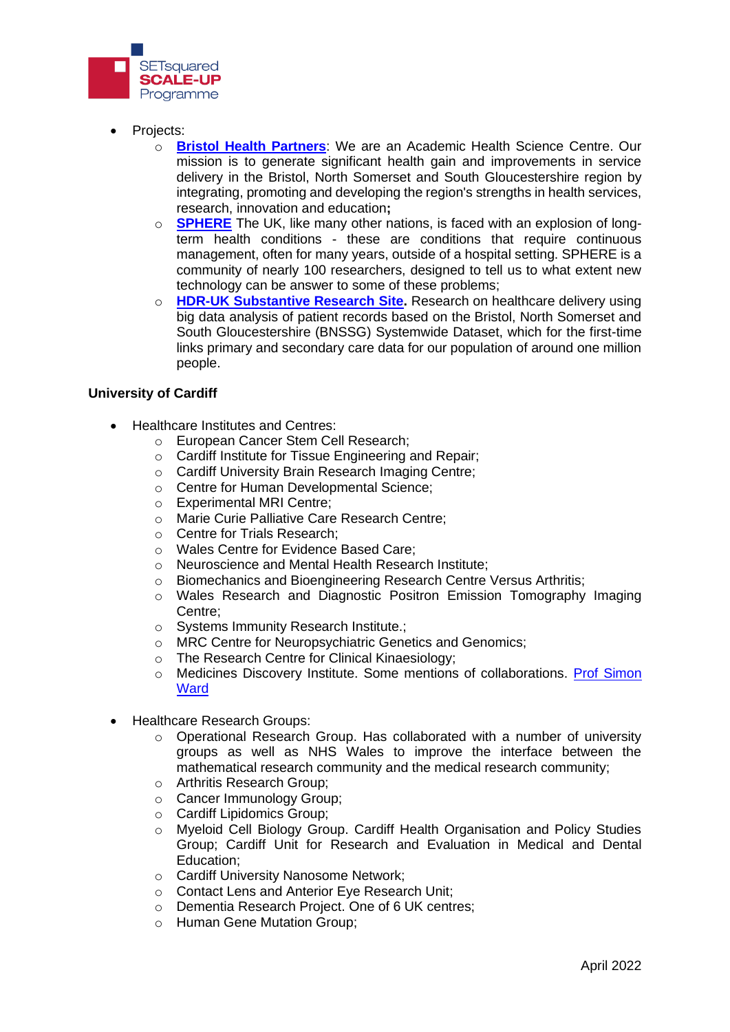

- Projects:
	- o **[Bristol Health Partners](https://www.bristolhealthpartners.org.uk/)**: We are an Academic Health Science Centre. Our mission is to generate significant health gain and improvements in service delivery in the Bristol, North Somerset and South Gloucestershire region by integrating, promoting and developing the region's strengths in health services, research, innovation and education**;**
	- o **[SPHERE](https://irc-sphere.ac.uk/)** The UK, like many other nations, is faced with an explosion of longterm health conditions - these are conditions that require continuous management, often for many years, outside of a hospital setting. SPHERE is a community of nearly 100 researchers, designed to tell us to what extent new technology can be answer to some of these problems;
	- o **[HDR-UK Substantive Research Site.](https://www.hdruk.ac.uk/about-us/locations/health-data-research-uk-southwest/)** Research on healthcare delivery using big data analysis of patient records based on the Bristol, North Somerset and South Gloucestershire (BNSSG) Systemwide Dataset, which for the first-time links primary and secondary care data for our population of around one million people.

## **University of Cardiff**

- Healthcare Institutes and Centres:
	- o European Cancer Stem Cell Research;
	- o Cardiff Institute for Tissue Engineering and Repair;
	- o Cardiff University Brain Research Imaging Centre;
	- o Centre for Human Developmental Science;
	- o Experimental MRI Centre;
	- o Marie Curie Palliative Care Research Centre;
	- o Centre for Trials Research;
	- o Wales Centre for Evidence Based Care;
	- o Neuroscience and Mental Health Research Institute;
	- o Biomechanics and Bioengineering Research Centre Versus Arthritis;
	- o Wales Research and Diagnostic Positron Emission Tomography Imaging Centre;
	- o Systems Immunity Research Institute.;
	- o MRC Centre for Neuropsychiatric Genetics and Genomics;
	- o The Research Centre for Clinical Kinaesiology;
	- o Medicines Discovery Institute. Some mentions of collaborations. Prof Simon **[Ward](https://www.cardiff.ac.uk/people/view/972633-ward-simon)**
- Healthcare Research Groups:
	- $\circ$  Operational Research Group. Has collaborated with a number of university groups as well as NHS Wales to improve the interface between the mathematical research community and the medical research community;
	- o Arthritis Research Group;
	- o Cancer Immunology Group;
	- o Cardiff Lipidomics Group;
	- o Myeloid Cell Biology Group. Cardiff Health Organisation and Policy Studies Group; Cardiff Unit for Research and Evaluation in Medical and Dental Education;
	- o Cardiff University Nanosome Network;
	- o Contact Lens and Anterior Eye Research Unit;
	- o Dementia Research Project. One of 6 UK centres;
	- o Human Gene Mutation Group;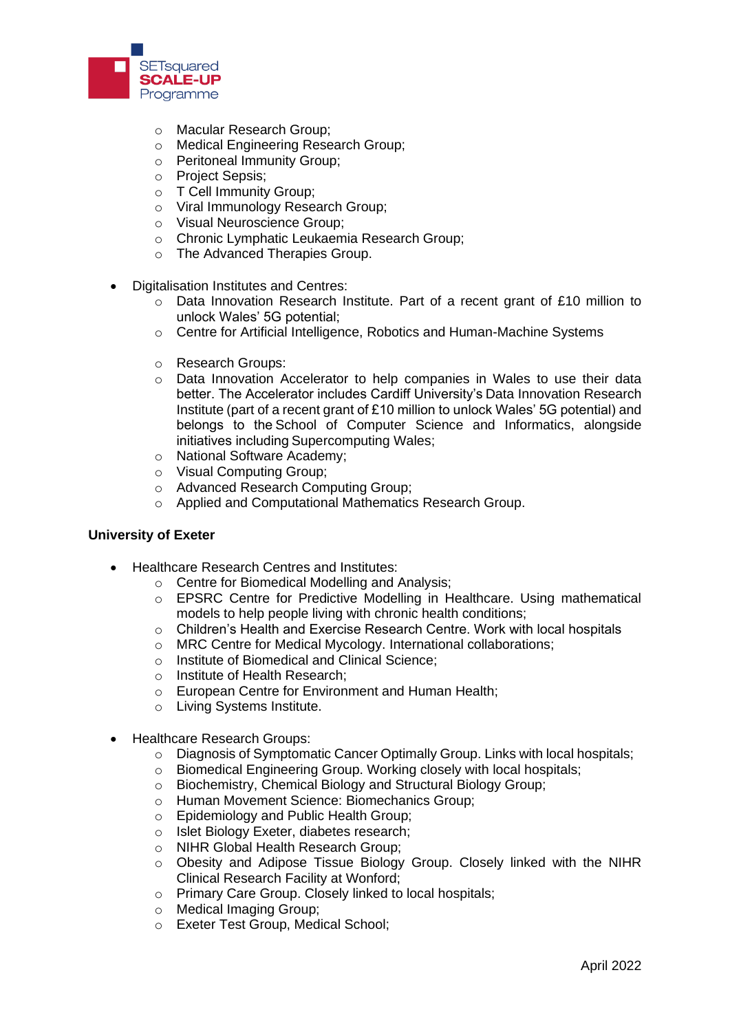

- o Macular Research Group;
- o Medical Engineering Research Group;
- o Peritoneal Immunity Group;
- o Project Sepsis;
- o T Cell Immunity Group;
- o Viral Immunology Research Group;
- o Visual Neuroscience Group;
- o Chronic Lymphatic Leukaemia Research Group;
- o The Advanced Therapies Group.
- Digitalisation Institutes and Centres:
	- o Data Innovation Research Institute. Part of a recent grant of £10 million to unlock Wales' 5G potential;
	- o Centre for Artificial Intelligence, Robotics and Human-Machine Systems
	- o Research Groups:
	- $\circ$  Data Innovation Accelerator to help companies in Wales to use their data better. The Accelerator includes Cardiff University's[Data Innovation Research](https://www.cardiff.ac.uk/data-innovation-research-institute)  [Institute \(](https://www.cardiff.ac.uk/data-innovation-research-institute)part of a recent grant of £10 million to unlock Wales' 5G potential) and belongs to th[e School of Computer Science and Informatics,](https://www.cardiff.ac.uk/computer-science) alongside initiatives including[Supercomputing Wales;](https://www.supercomputing.wales/)
	- o [National Software Academy;](https://www.cardiff.ac.uk/software-academy)
	- o Visual Computing Group;
	- o Advanced Research Computing Group;
	- o Applied and Computational Mathematics Research Group.

#### **University of Exeter**

- Healthcare Research Centres and Institutes:
	- o Centre for Biomedical Modelling and Analysis;
	- $\circ$  EPSRC Centre for Predictive Modelling in Healthcare. Using mathematical models to help people living with chronic health conditions;
	- o Children's Health and Exercise Research Centre. Work with local hospitals
	- o MRC Centre for Medical Mycology. International collaborations;
	- o Institute of Biomedical and Clinical Science;
	- o Institute of Health Research;
	- o European Centre for Environment and Human Health;
	- o Living Systems Institute.
- Healthcare Research Groups:
	- o Diagnosis of Symptomatic Cancer Optimally Group. Links with local hospitals;
	- o Biomedical Engineering Group. Working closely with local hospitals;
	- o Biochemistry, Chemical Biology and Structural Biology Group;
	- o Human Movement Science: Biomechanics Group;
	- o Epidemiology and Public Health Group;
	- o Islet Biology Exeter, diabetes research;
	- o NIHR Global Health Research Group;
	- o Obesity and Adipose Tissue Biology Group. Closely linked with the NIHR Clinical Research Facility at Wonford;
	- o Primary Care Group. Closely linked to local hospitals;
	- o Medical Imaging Group;
	- o Exeter Test Group, Medical School;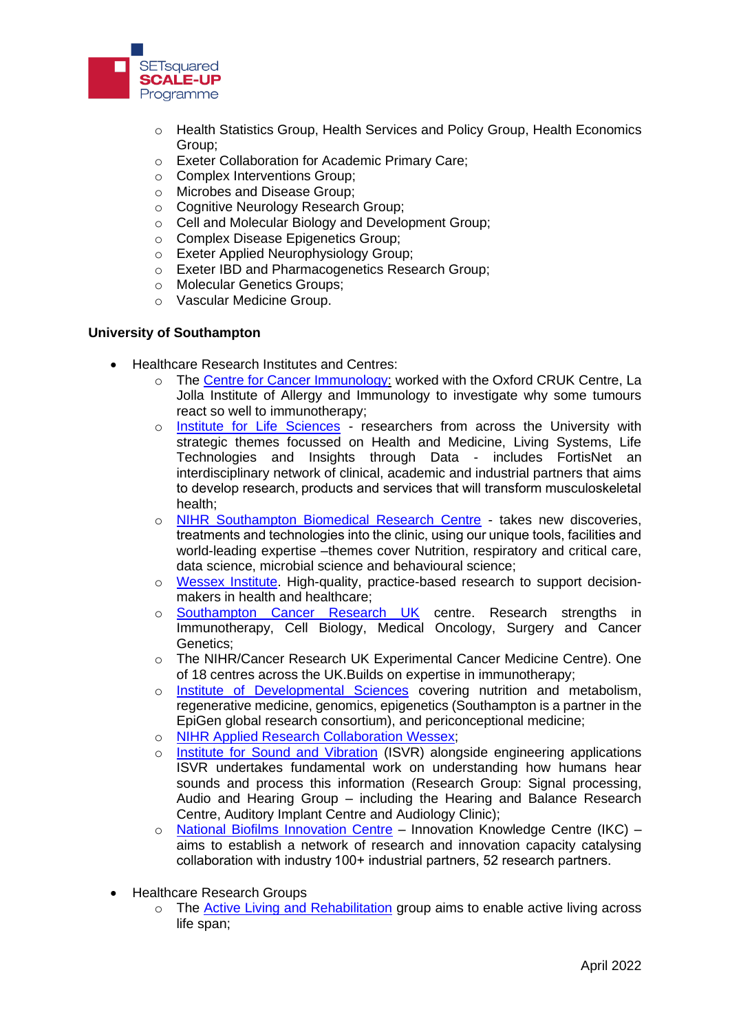

- o Health Statistics Group, Health Services and Policy Group, Health Economics Group;
- o Exeter Collaboration for Academic Primary Care;
- o Complex Interventions Group;
- o Microbes and Disease Group;
- o Cognitive Neurology Research Group;
- o Cell and Molecular Biology and Development Group;
- o Complex Disease Epigenetics Group;
- o Exeter Applied Neurophysiology Group;
- o Exeter IBD and Pharmacogenetics Research Group;
- o Molecular Genetics Groups;
- o Vascular Medicine Group.

## **University of Southampton**

- Healthcare Research Institutes and Centres:
	- o The [Centre for Cancer Immunology:](https://www.southampton.ac.uk/youreit) worked with the Oxford CRUK Centre, La Jolla Institute of Allergy and Immunology to investigate why some tumours react so well to immunotherapy;
	- o [Institute for Life Sciences](https://www.southampton.ac.uk/life-sciences/index.page) researchers from across the University with strategic themes focussed on Health and Medicine, Living Systems, Life Technologies and Insights through Data - includes FortisNet an interdisciplinary network of clinical, academic and industrial partners that aims to develop research, products and services that will transform musculoskeletal health;
	- o [NIHR Southampton Biomedical Research Centre](https://www.uhs.nhs.uk/ClinicalResearchinSouthampton/Research/Facilities/NIHR-Southampton-Biomedical-Research-Centre/Ourresearchandimpacts/Ourresearchandimpacts.aspx) takes new discoveries, treatments and technologies into the clinic, using our unique tools, facilities and world-leading expertise –themes cover Nutrition, respiratory and critical care, data science, microbial science and behavioural science;
	- o [Wessex Institute.](https://www.southampton.ac.uk/medicine/business_partnership/services/wessex_institute.page) High-quality, practice-based research to support decisionmakers in health and healthcare;
	- o [Southampton Cancer Research UK](https://www.southampton.ac.uk/cruk/index.page) centre. Research strengths in Immunotherapy, Cell Biology, Medical Oncology, Surgery and Cancer Genetics;
	- o The NIHR/Cancer Research UK Experimental Cancer Medicine Centre). One of 18 centres across the UK.Builds on expertise in immunotherapy;
	- o [Institute of Developmental Sciences](https://www.southampton.ac.uk/medicine/research/ids/institute-developmental-studies.page) covering nutrition and metabolism, regenerative medicine, genomics, epigenetics (Southampton is a partner in the EpiGen global research consortium), and periconceptional medicine;
	- o [NIHR Applied Research Collaboration Wessex;](https://www.arc-wx.nihr.ac.uk/about-us/who-are-we/)
	- [Institute for Sound and Vibration](https://www.southampton.ac.uk/engineering/research/centres/isvr.page) (ISVR) alongside engineering applications ISVR undertakes fundamental work on understanding how humans hear sounds and process this information (Research Group: Signal processing, Audio and Hearing Group – including the Hearing and Balance Research Centre, Auditory Implant Centre and Audiology Clinic);
	- o [National Biofilms Innovation Centre](https://www.biofilms.ac.uk/) Innovation Knowledge Centre (IKC) aims to establish a network of research and innovation capacity catalysing collaboration with industry 100+ industrial partners, 52 research partners.
- Healthcare Research Groups
	- o The [Active Living and Rehabilitation](https://www.southampton.ac.uk/alr/index.page) group aims to enable active living across life span;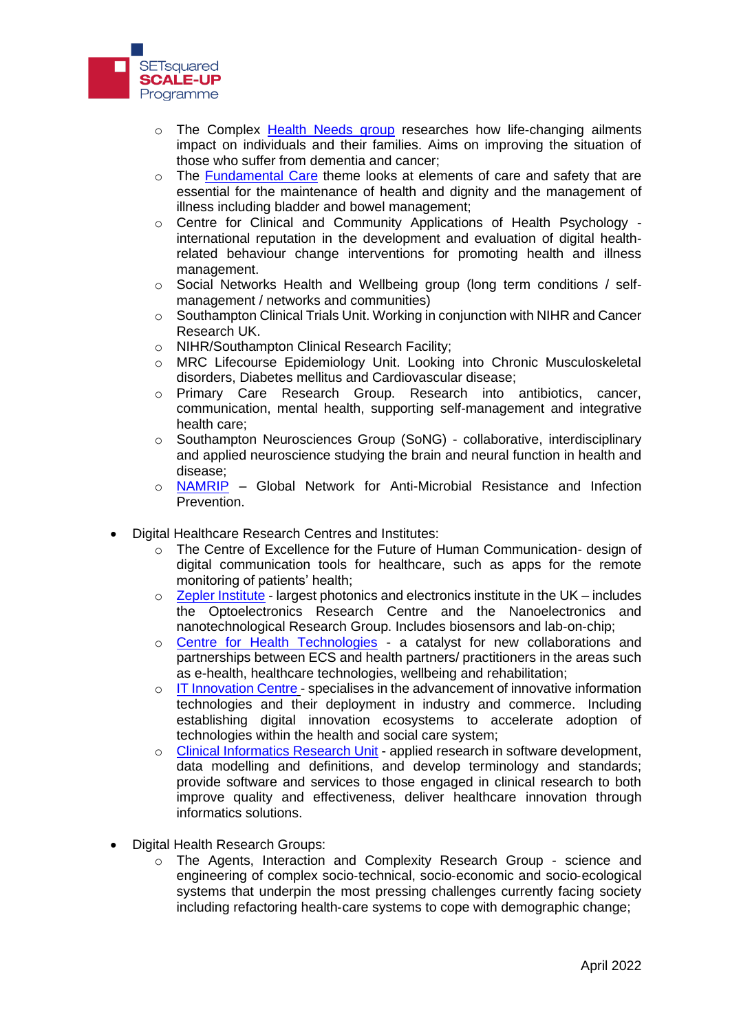

- $\circ$  The Complex [Health Needs](https://www.southampton.ac.uk/chp/index.page) group researches how life-changing ailments impact on individuals and their families. Aims on improving the situation of those who suffer from dementia and cancer;
- $\circ$  The [Fundamental Care](https://www.southampton.ac.uk/fcs) theme looks at elements of care and safety that are essential for the maintenance of health and dignity and the management of illness including bladder and bowel management;
- o Centre for Clinical and Community Applications of Health Psychology international reputation in the development and evaluation of digital healthrelated behaviour change interventions for promoting health and illness management.
- Social Networks Health and Wellbeing group (long term conditions / selfmanagement / networks and communities)
- $\circ$  Southampton Clinical Trials Unit. Working in conjunction with NIHR and Cancer Research UK.
- o NIHR/Southampton Clinical Research Facility;
- o MRC Lifecourse Epidemiology Unit. Looking into Chronic Musculoskeletal disorders, Diabetes mellitus and Cardiovascular disease;
- o Primary Care Research Group. Research into antibiotics, cancer, communication, mental health, supporting self-management and integrative health care;
- o Southampton Neurosciences Group (SoNG) collaborative, interdisciplinary and applied neuroscience studying the brain and neural function in health and disease;
- o [NAMRIP](https://www.southampton.ac.uk/namrip/) Global Network for Anti-Microbial Resistance and Infection Prevention.
- Digital Healthcare Research Centres and Institutes:
	- $\circ$  The Centre of Excellence for the Future of Human Communication- design of digital communication tools for healthcare, such as apps for the remote monitoring of patients' health;
	- o [Zepler Institute](https://www.zeplerinstitute.com/) largest photonics and electronics institute in the UK includes the Optoelectronics Research Centre and the Nanoelectronics and nanotechnological Research Group. Includes biosensors and lab-on-chip;
	- o [Centre for Health Technologies](https://www.cht.ecs.soton.ac.uk/) a catalyst for new collaborations and partnerships between ECS and health partners/ practitioners in the areas such as e-health, healthcare technologies, wellbeing and rehabilitation;
	- o [IT Innovation Centre](http://www.it-innovation.soton.ac.uk/) specialises in the advancement of innovative information technologies and their deployment in industry and commerce. Including establishing digital innovation ecosystems to accelerate adoption of technologies within the health and social care system;
	- o [Clinical Informatics Research Unit](https://www.southampton.ac.uk/medicine/business_partnership/ciru.page) applied research in software development, data modelling and definitions, and develop terminology and standards; provide software and services to those engaged in clinical research to both improve quality and effectiveness, deliver healthcare innovation through informatics solutions.
- Digital Health Research Groups:
	- o The Agents, Interaction and Complexity Research Group science and engineering of complex socio‐technical, socio‐economic and socio‐ecological systems that underpin the most pressing challenges currently facing society including refactoring health‐care systems to cope with demographic change;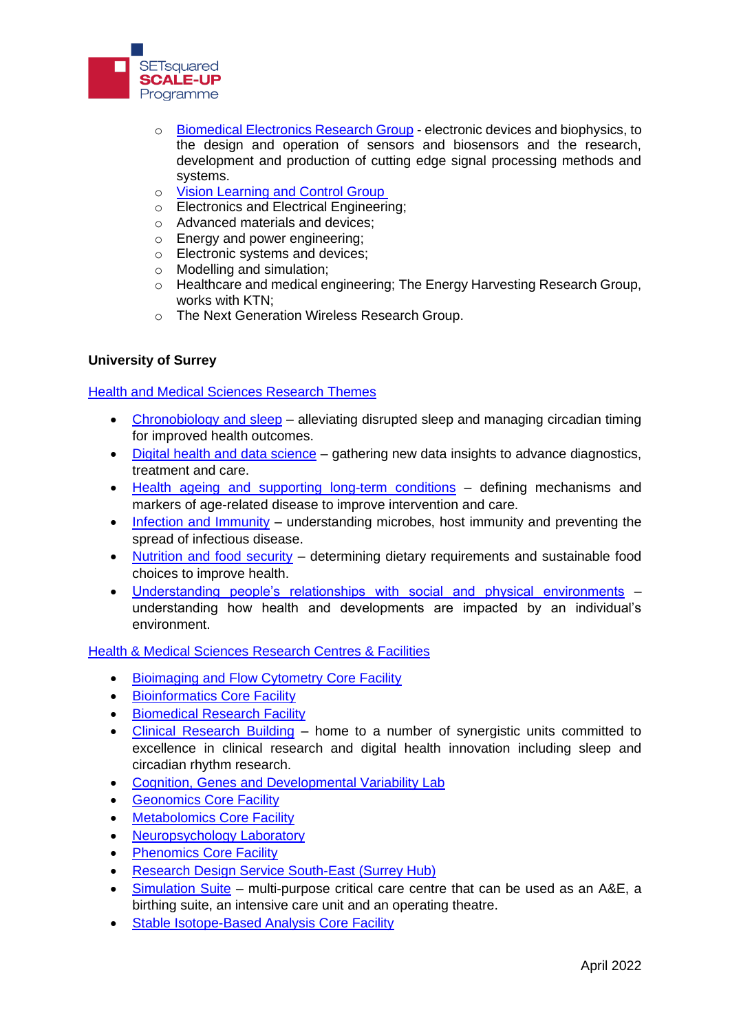

- o [Biomedical Electronics Research Group](https://www.bio.ecs.soton.ac.uk/) electronic devices and biophysics, to the design and operation of sensors and biosensors and the research, development and production of cutting edge signal processing methods and systems.
- o [Vision Learning and Control Group](https://www.vlc.ecs.soton.ac.uk/about-us)
- o Electronics and Electrical Engineering;
- o Advanced materials and devices;
- o Energy and power engineering;
- o Electronic systems and devices;
- o Modelling and simulation;
- $\circ$  Healthcare and medical engineering; The Energy Harvesting Research Group, works with KTN;
- o The Next Generation Wireless Research Group.

## **University of Surrey**

# [Health and Medical Sciences Research Themes](https://www.surrey.ac.uk/faculty-health-medical-sciences/research)

- [Chronobiology and sleep](https://www.surrey.ac.uk/faculty-health-medical-sciences/research/chronobiology-and-sleep) alleviating disrupted sleep and managing circadian timing for improved health outcomes.
- [Digital health and data science](https://www.surrey.ac.uk/faculty-health-medical-sciences/research/digital-health-and-data-science) gathering new data insights to advance diagnostics, treatment and care.
- [Health ageing and supporting long-term conditions](https://www.surrey.ac.uk/faculty-health-medical-sciences/research/healthy-ageing-and-supporting-long-term-conditions) defining mechanisms and markers of age-related disease to improve intervention and care.
- [Infection and Immunity](https://www.surrey.ac.uk/faculty-health-medical-sciences/research/infection-and-immunity) understanding microbes, host immunity and preventing the spread of infectious disease.
- [Nutrition and food security](https://www.surrey.ac.uk/faculty-health-medical-sciences/research/nutrition-and-food-security) determining dietary requirements and sustainable food choices to improve health.
- [Understanding people's relationships with social and physical environments](https://www.surrey.ac.uk/faculty-health-medical-sciences/research/understanding-peoples-relationships-social-and-physical-environments) understanding how health and developments are impacted by an individual's environment.

## [Health & Medical Sciences Research Centres & Facilities](https://www.surrey.ac.uk/faculty-health-medical-sciences/facilities)

- [Bioimaging and Flow Cytometry Core Facility](https://www.surrey.ac.uk/school-biosciences-medicine/facilities/bioimaging-and-flow-cytometry)
- [Bioinformatics Core Facility](https://www.surrey.ac.uk/school-biosciences-medicine/facilities/bioinformatics)
- [Biomedical Research Facility](https://www.surrey.ac.uk/school-biosciences-medicine/biomedical-research-facility)
- [Clinical Research Building](https://www.surrey.ac.uk/school-biosciences-medicine/research/clinical-research-building) home to a number of synergistic units committed to excellence in clinical research and digital health innovation including sleep and circadian rhythm research.
- [Cognition, Genes and Developmental Variability Lab](https://www.surrey.ac.uk/cognition-genes-and-developmental-variability-lab)
- [Geonomics Core Facility](https://www.surrey.ac.uk/school-biosciences-medicine/facilities/genomics-facility)
- [Metabolomics Core Facility](https://www.surrey.ac.uk/school-biosciences-medicine/facilities/metabolomics)
- [Neuropsychology Laboratory](https://www.surrey.ac.uk/brain-and-behaviour-research-group/neuropsychology-laboratory)
- [Phenomics Core Facility](https://www.surrey.ac.uk/school-veterinary-medicine/facilities/phenomics-core-facility)
- [Research Design Service South-East \(Surrey Hub\)](https://www.surrey.ac.uk/school-biosciences-medicine/research/research-design-service-south-east-surrey-hub)
- [Simulation Suite](https://www.surrey.ac.uk/school-health-sciences/become-a-health-professional/teaching-facilities#simulation-suite) multi-purpose critical care centre that can be used as an A&E, a birthing suite, an intensive care unit and an operating theatre.
- [Stable Isotope-Based Analysis Core Facility](https://www.surrey.ac.uk/school-biosciences-medicine/facilities/stable-isotope-based-analysis)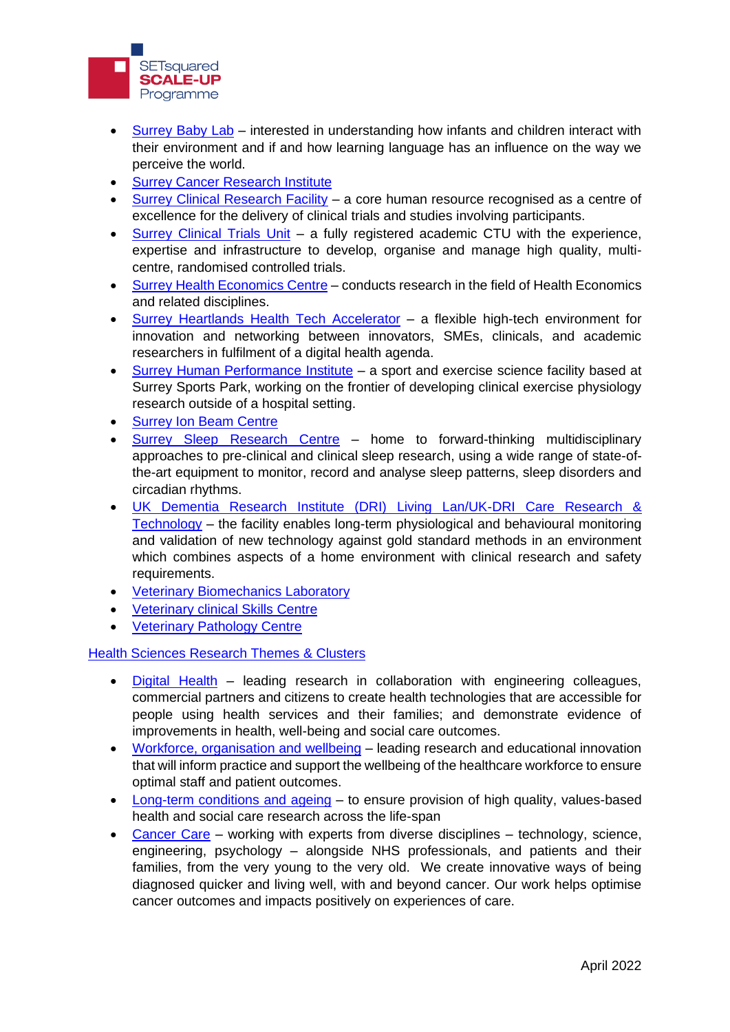

- [Surrey Baby Lab](https://www.surrey.ac.uk/surrey-baby-lab) interested in understanding how infants and children interact with their environment and if and how learning language has an influence on the way we perceive the world.
- [Surrey Cancer Research Institute](https://surreycancer.org.uk/)
- [Surrey Clinical Research Facility](https://www.surrey.ac.uk/school-biosciences-medicine/research/clinical-research-building#clinical-research-facility) a core human resource recognised as a centre of excellence for the delivery of clinical trials and studies involving participants.
- [Surrey Clinical Trials Unit](https://www.surrey.ac.uk/school-biosciences-medicine/research/clinical-research-building#clinical-trials-unit) a fully registered academic CTU with the experience, expertise and infrastructure to develop, organise and manage high quality, multicentre, randomised controlled trials.
- [Surrey Health Economics Centre](https://www.surrey.ac.uk/school-biosciences-medicine/research/surrey-health-economics-centre) conducts research in the field of Health Economics and related disciplines.
- [Surrey Heartlands Health Tech Accelerator](https://www.surrey.ac.uk/school-biosciences-medicine/research/clinical-research-building#surrey-heartlands-health-tech-accelerator) a flexible high-tech environment for innovation and networking between innovators, SMEs, clinicals, and academic researchers in fulfilment of a digital health agenda.
- [Surrey Human Performance Institute](https://www.surrey.ac.uk/surrey-human-performance-institute) a sport and exercise science facility based at Surrey Sports Park, working on the frontier of developing clinical exercise physiology research outside of a hospital setting.
- [Surrey Ion Beam Centre](https://www.surrey.ac.uk/ion-beam-centre/facilities)
- [Surrey Sleep Research Centre](https://www.surrey.ac.uk/surrey-sleep-research-centre) home to forward-thinking multidisciplinary approaches to pre-clinical and clinical sleep research, using a wide range of state-ofthe-art equipment to monitor, record and analyse sleep patterns, sleep disorders and circadian rhythms.
- [UK Dementia Research Institute \(DRI\) Living Lan/UK-DRI Care Research &](https://www.surrey.ac.uk/school-biosciences-medicine/research/clinical-research-building#uk-dementia-research-institute)  [Technology](https://www.surrey.ac.uk/school-biosciences-medicine/research/clinical-research-building#uk-dementia-research-institute) – the facility enables long-term physiological and behavioural monitoring and validation of new technology against gold standard methods in an environment which combines aspects of a home environment with clinical research and safety requirements.
- [Veterinary Biomechanics Laboratory](https://www.surrey.ac.uk/school-veterinary-medicine/facilities/veterinary-biomechanics-laboratory)
- [Veterinary clinical Skills Centre](https://www.surrey.ac.uk/school-veterinary-medicine/facilities/clinical-skills-centre)
- **[Veterinary Pathology Centre](https://www.surrey.ac.uk/school-veterinary-medicine/facilities/veterinary-pathology-centre)**

[Health Sciences Research Themes & Clusters](https://www.surrey.ac.uk/school-health-sciences/research)

- [Digital Health](https://www.surrey.ac.uk/school-health-sciences/research/digital-health) leading research in collaboration with engineering colleagues, commercial partners and citizens to create health technologies that are accessible for people using health services and their families; and demonstrate evidence of improvements in health, well-being and social care outcomes.
- [Workforce, organisation and wellbeing](https://www.surrey.ac.uk/school-health-sciences/research/workforce-organisation-and-wellbeing) leading research and educational innovation that will inform practice and support the wellbeing of the healthcare workforce to ensure optimal staff and patient outcomes.
- [Long-term conditions and ageing](https://www.surrey.ac.uk/school-health-sciences/research/long-term-conditions-and-ageing) to ensure provision of high quality, values-based health and social care research across the life-span
- [Cancer Care](https://www.surrey.ac.uk/school-health-sciences/research/cancer) working with experts from diverse disciplines technology, science, engineering, psychology – alongside NHS professionals, and patients and their families, from the very young to the very old. We create innovative ways of being diagnosed quicker and living well, with and beyond cancer. Our work helps optimise cancer outcomes and impacts positively on experiences of care.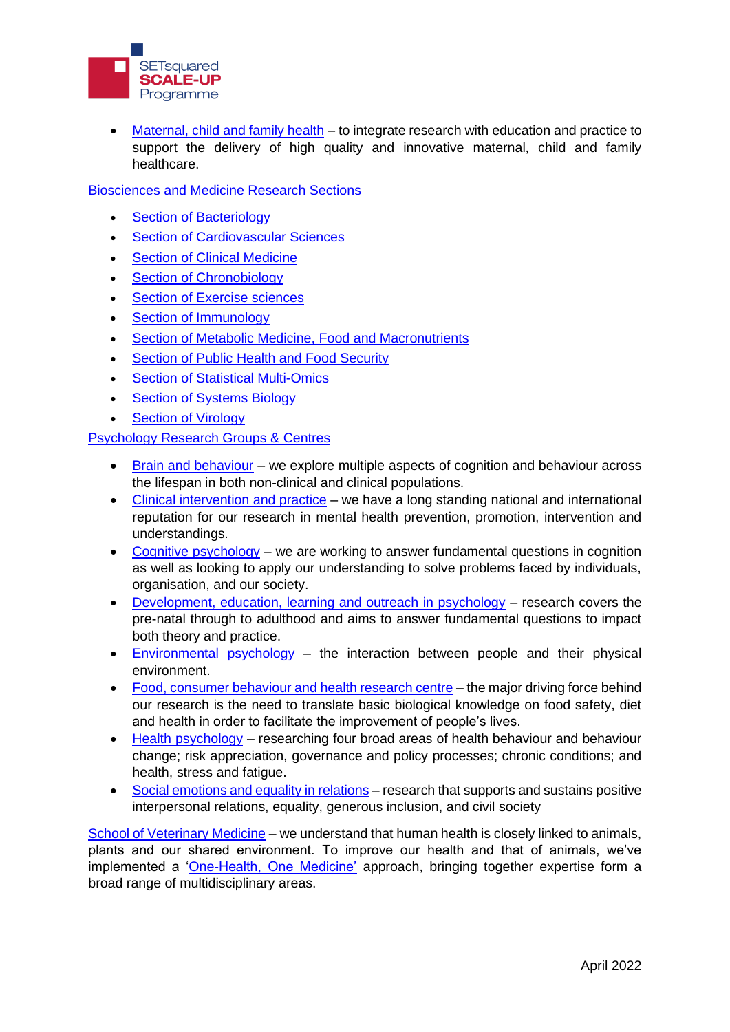

• [Maternal, child and family health](https://www.surrey.ac.uk/school-health-sciences/research/maternal-child-family-health-cluster) – to integrate research with education and practice to support the delivery of high quality and innovative maternal, child and family healthcare.

[Biosciences and Medicine Research Sections](hhttps://www.surrey.ac.uk/school-biosciences-medicine/research)

- [Section of Bacteriology](https://www.surrey.ac.uk/school-biosciences-medicine/research/section-bacteriology)
- [Section of Cardiovascular Sciences](https://www.surrey.ac.uk/school-biosciences-medicine/research/section-cardiovascular-sciences)
- [Section of Clinical Medicine](https://www.surrey.ac.uk/section-clinical-medicine-ageing)
- [Section of Chronobiology](https://www.surrey.ac.uk/school-biosciences-medicine/research/section-chronobiology)
- [Section of Exercise sciences](https://www.surrey.ac.uk/school-biosciences-medicine/research/section-exercise-sciences)
- [Section of Immunology](https://www.surrey.ac.uk/school-biosciences-medicine/research/section-immunology)
- [Section of Metabolic Medicine, Food and Macronutrients](https://www.surrey.ac.uk/school-biosciences-medicine/research/section-metabolic-medicine-food-and-macronutrients)
- [Section of Public Health and Food Security](https://www.surrey.ac.uk/school-biosciences-medicine/research/section-public-health-and-food-security)
- [Section of Statistical Multi-Omics](https://www.surrey.ac.uk/school-biosciences-medicine/research/section-statistical-multi-omics)
- [Section of Systems Biology](https://www.surrey.ac.uk/school-biosciences-medicine/research/section-systems-biology)
- **[Section of Virology](https://www.surrey.ac.uk/school-biosciences-medicine/research/section-virology)**

[Psychology Research Groups & Centres](https://www.surrey.ac.uk/school-psychology/research)

- [Brain and behaviour](https://www.surrey.ac.uk/brain-and-behaviour-research-group) we explore multiple aspects of cognition and behaviour across the lifespan in both non-clinical and clinical populations.
- [Clinical intervention and practice](https://www.surrey.ac.uk/clinical-intervention-and-practice-research-group) we have a long standing national and international reputation for our research in mental health prevention, promotion, intervention and understandings.
- [Cognitive psychology](https://www.surrey.ac.uk/cognitive-psychology-research-group) we are working to answer fundamental questions in cognition as well as looking to apply our understanding to solve problems faced by individuals, organisation, and our society.
- [Development, education, learning and outreach in psychology](https://www.surrey.ac.uk/development-education-and-outreach-in-psychology-research-group) research covers the pre-natal through to adulthood and aims to answer fundamental questions to impact both theory and practice.
- [Environmental psychology](https://www.surrey.ac.uk/environmental-psychology-research-group) the interaction between people and their physical environment.
- [Food, consumer behaviour and](https://www.surrey.ac.uk/food-consumer-behaviour-and-health-research-centre) health research centre the major driving force behind our research is the need to translate basic biological knowledge on food safety, diet and health in order to facilitate the improvement of people's lives.
- [Health psychology](https://www.surrey.ac.uk/health-psychology-research-group) researching four broad areas of health behaviour and behaviour change; risk appreciation, governance and policy processes; chronic conditions; and health, stress and fatigue.
- [Social emotions and equality in relations](https://www.surrey.ac.uk/social-emotions-and-equality-in-relations-research-group) research that supports and sustains positive interpersonal relations, equality, generous inclusion, and civil society

[School of Veterinary Medicine](https://www.surrey.ac.uk/school-veterinary-medicine/research) – we understand that human health is closely linked to animals, plants and our shared environment. To improve our health and that of animals, we've implemented a ['One-Health, One Medicine'](https://www.surrey.ac.uk/one-health-one-medicine) approach, bringing together expertise form a broad range of multidisciplinary areas.